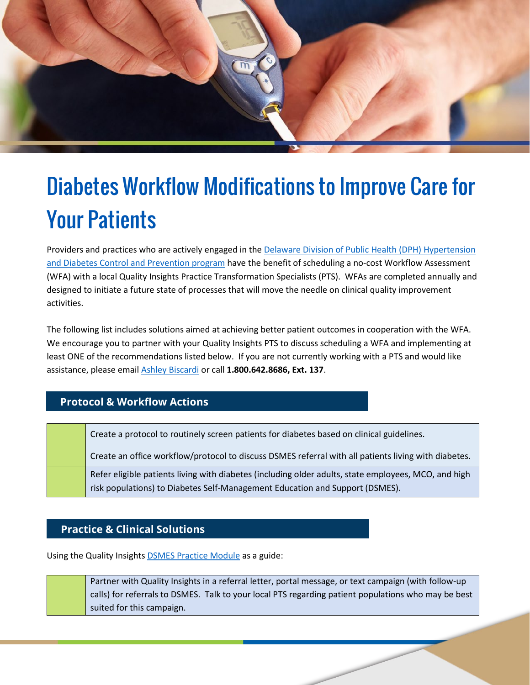

## Diabetes Workflow Modifications to Improve Care for Your Patients

Providers and practices who are actively engaged in the [Delaware Division of Public Health \(DPH\) Hypertension](https://app.smartsheet.com/sheets/w7wXvMgmpF8PxJJmhVX3W3qmw2JR5hVXw3gHQR21?view=grid)  [and Diabetes Control and Prevention program](https://app.smartsheet.com/sheets/w7wXvMgmpF8PxJJmhVX3W3qmw2JR5hVXw3gHQR21?view=grid) have the benefit of scheduling a no-cost Workflow Assessment (WFA) with a local Quality Insights Practice Transformation Specialists (PTS). WFAs are completed annually and designed to initiate a future state of processes that will move the needle on clinical quality improvement activities.

The following list includes solutions aimed at achieving better patient outcomes in cooperation with the WFA. We encourage you to partner with your Quality Insights PTS to discuss scheduling a WFA and implementing at least ONE of the recommendations listed below. If you are not currently working with a PTS and would like assistance, please email [Ashley Biscardi](mailto:abiscardi@qualityinsights.org) or call **1.800.642.8686, Ext. 137**.

## **Protocol & Workflow Actions**

| Create a protocol to routinely screen patients for diabetes based on clinical guidelines.                                                                                            |
|--------------------------------------------------------------------------------------------------------------------------------------------------------------------------------------|
| Create an office workflow/protocol to discuss DSMES referral with all patients living with diabetes.                                                                                 |
| Refer eligible patients living with diabetes (including older adults, state employees, MCO, and high<br>risk populations) to Diabetes Self-Management Education and Support (DSMES). |

## **Practice & Clinical Solutions**

Using the Quality Insights DSMES [Practice Module](https://improve.qualityinsights.org/Projects/DE-Hypertension-and-Diabetes/Practice-Toolkits.aspx) as a guide:

Partner with Quality Insights in a referral letter, portal message, or text campaign (with follow-up calls) for referrals to DSMES. Talk to your local PTS regarding patient populations who may be best suited for this campaign.